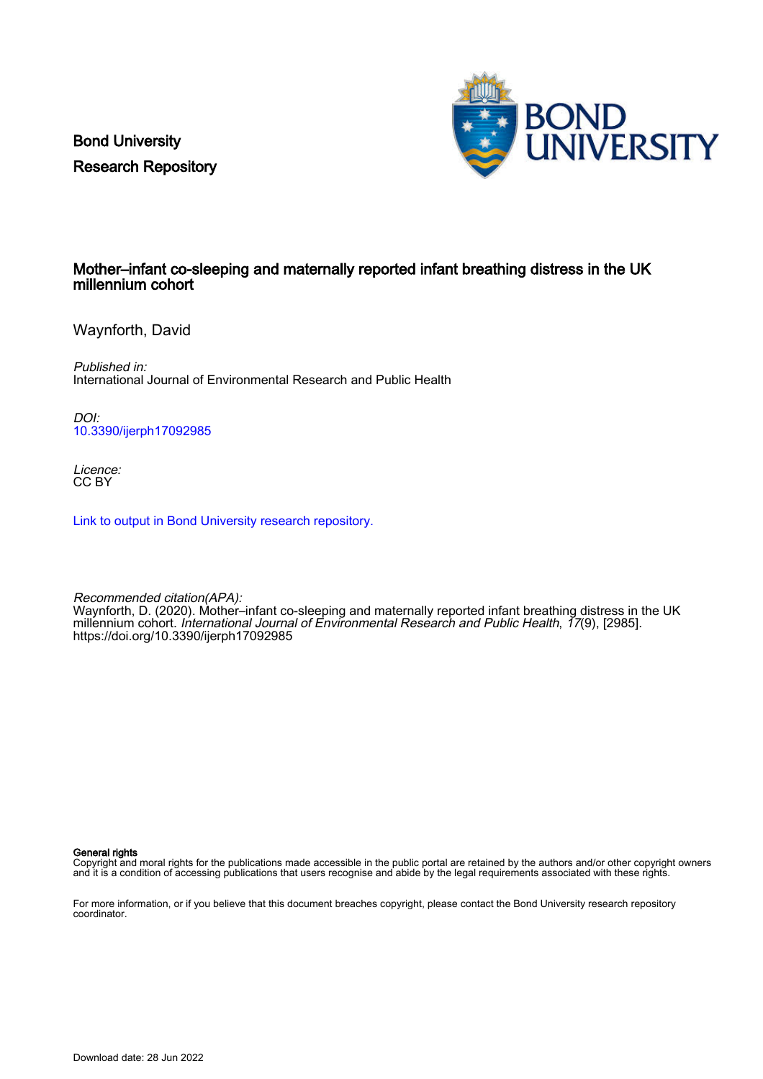Bond University Research Repository



## Mother–infant co-sleeping and maternally reported infant breathing distress in the UK millennium cohort

Waynforth, David

Published in: International Journal of Environmental Research and Public Health

DOI: [10.3390/ijerph17092985](https://doi.org/10.3390/ijerph17092985)

Licence: CC BY

[Link to output in Bond University research repository.](https://research.bond.edu.au/en/publications/b88c5d90-a521-403b-8de1-74214f6ecb3d)

Recommended citation(APA): Waynforth, D. (2020). Mother–infant co-sleeping and maternally reported infant breathing distress in the UK millennium cohort. International Journal of Environmental Research and Public Health, 17(9), [2985]. <https://doi.org/10.3390/ijerph17092985>

General rights

Copyright and moral rights for the publications made accessible in the public portal are retained by the authors and/or other copyright owners and it is a condition of accessing publications that users recognise and abide by the legal requirements associated with these rights.

For more information, or if you believe that this document breaches copyright, please contact the Bond University research repository coordinator.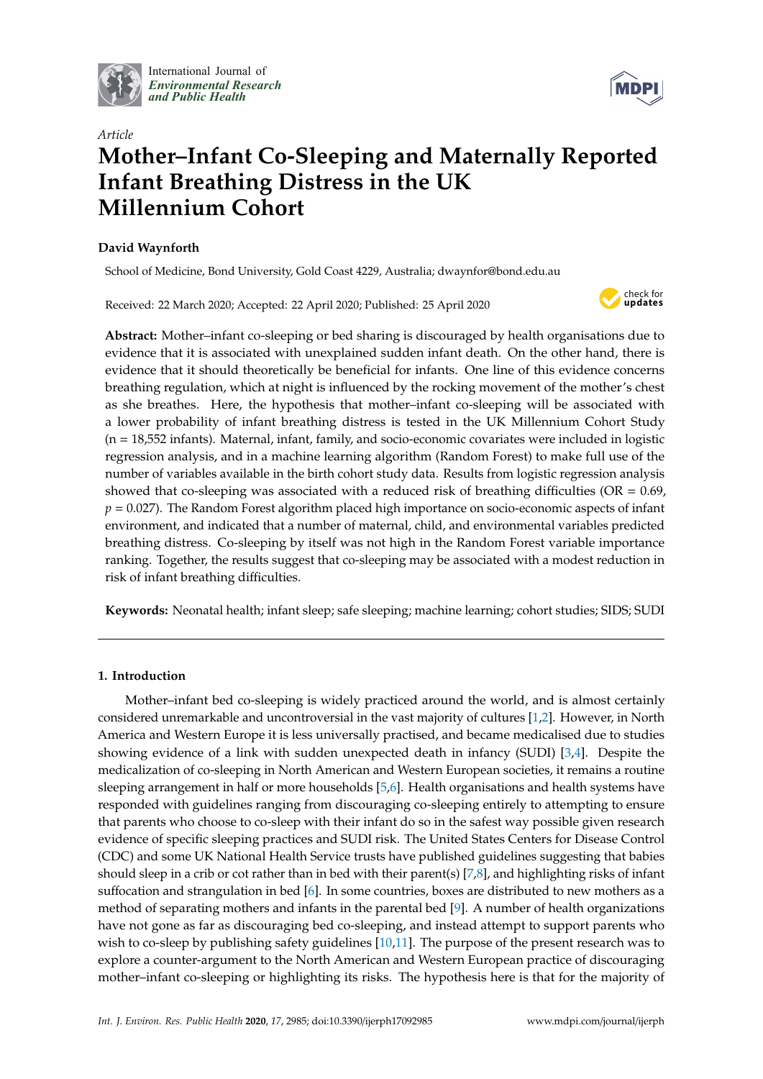

International Journal of *[Environmental Research](http://www.mdpi.com/journal/ijerph) and Public Health*



# *Article* **Mother–Infant Co-Sleeping and Maternally Reported Infant Breathing Distress in the UK Millennium Cohort**

## **David Waynforth**

School of Medicine, Bond University, Gold Coast 4229, Australia; dwaynfor@bond.edu.au

Received: 22 March 2020; Accepted: 22 April 2020; Published: 25 April 2020



**Abstract:** Mother–infant co-sleeping or bed sharing is discouraged by health organisations due to evidence that it is associated with unexplained sudden infant death. On the other hand, there is evidence that it should theoretically be beneficial for infants. One line of this evidence concerns breathing regulation, which at night is influenced by the rocking movement of the mother's chest as she breathes. Here, the hypothesis that mother–infant co-sleeping will be associated with a lower probability of infant breathing distress is tested in the UK Millennium Cohort Study (n = 18,552 infants). Maternal, infant, family, and socio-economic covariates were included in logistic regression analysis, and in a machine learning algorithm (Random Forest) to make full use of the number of variables available in the birth cohort study data. Results from logistic regression analysis showed that co-sleeping was associated with a reduced risk of breathing difficulties ( $OR = 0.69$ , *p* = 0.027). The Random Forest algorithm placed high importance on socio-economic aspects of infant environment, and indicated that a number of maternal, child, and environmental variables predicted breathing distress. Co-sleeping by itself was not high in the Random Forest variable importance ranking. Together, the results suggest that co-sleeping may be associated with a modest reduction in risk of infant breathing difficulties.

**Keywords:** Neonatal health; infant sleep; safe sleeping; machine learning; cohort studies; SIDS; SUDI

## **1. Introduction**

Mother–infant bed co-sleeping is widely practiced around the world, and is almost certainly considered unremarkable and uncontroversial in the vast majority of cultures [\[1,](#page-9-0)[2\]](#page-9-1). However, in North America and Western Europe it is less universally practised, and became medicalised due to studies showing evidence of a link with sudden unexpected death in infancy (SUDI) [\[3](#page-9-2)[,4\]](#page-9-3). Despite the medicalization of co-sleeping in North American and Western European societies, it remains a routine sleeping arrangement in half or more households [\[5](#page-9-4)[,6\]](#page-9-5). Health organisations and health systems have responded with guidelines ranging from discouraging co-sleeping entirely to attempting to ensure that parents who choose to co-sleep with their infant do so in the safest way possible given research evidence of specific sleeping practices and SUDI risk. The United States Centers for Disease Control (CDC) and some UK National Health Service trusts have published guidelines suggesting that babies should sleep in a crib or cot rather than in bed with their parent(s) [\[7,](#page-9-6)[8\]](#page-9-7), and highlighting risks of infant suffocation and strangulation in bed [\[6\]](#page-9-5). In some countries, boxes are distributed to new mothers as a method of separating mothers and infants in the parental bed [\[9\]](#page-9-8). A number of health organizations have not gone as far as discouraging bed co-sleeping, and instead attempt to support parents who wish to co-sleep by publishing safety guidelines [\[10,](#page-9-9)[11\]](#page-9-10). The purpose of the present research was to explore a counter-argument to the North American and Western European practice of discouraging mother–infant co-sleeping or highlighting its risks. The hypothesis here is that for the majority of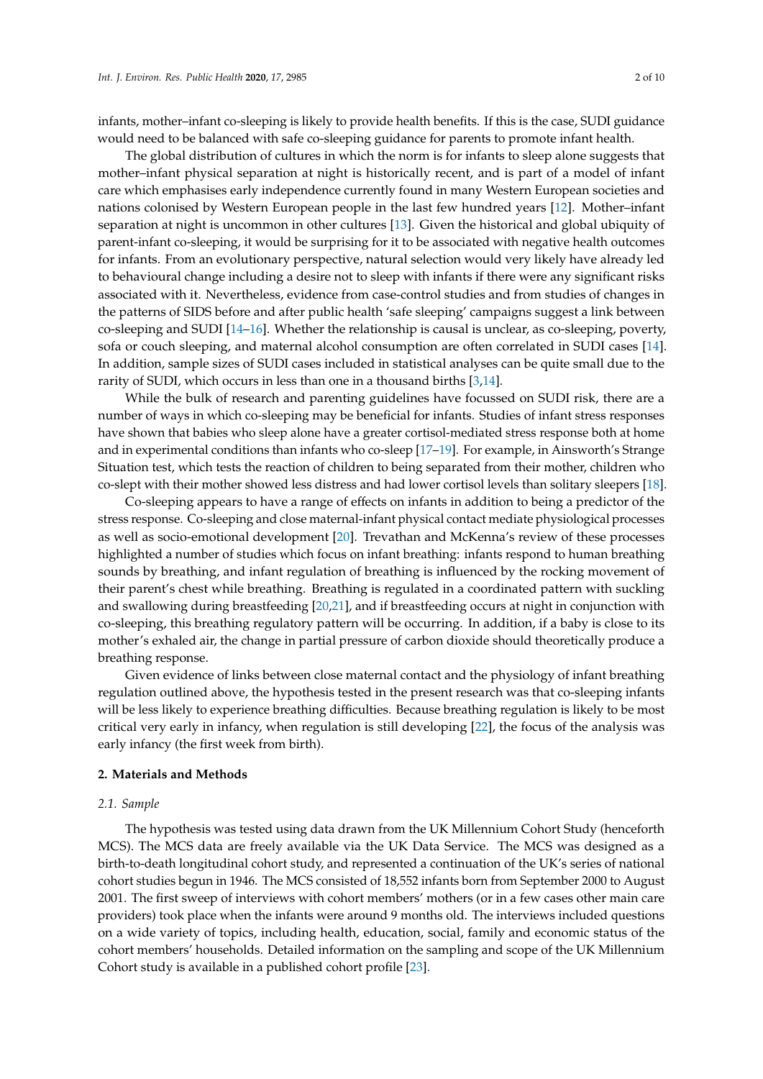infants, mother–infant co-sleeping is likely to provide health benefits. If this is the case, SUDI guidance would need to be balanced with safe co-sleeping guidance for parents to promote infant health.

The global distribution of cultures in which the norm is for infants to sleep alone suggests that mother–infant physical separation at night is historically recent, and is part of a model of infant care which emphasises early independence currently found in many Western European societies and nations colonised by Western European people in the last few hundred years [\[12\]](#page-9-11). Mother–infant separation at night is uncommon in other cultures [\[13\]](#page-9-12). Given the historical and global ubiquity of parent-infant co-sleeping, it would be surprising for it to be associated with negative health outcomes for infants. From an evolutionary perspective, natural selection would very likely have already led to behavioural change including a desire not to sleep with infants if there were any significant risks associated with it. Nevertheless, evidence from case-control studies and from studies of changes in the patterns of SIDS before and after public health 'safe sleeping' campaigns suggest a link between co-sleeping and SUDI [\[14–](#page-9-13)[16\]](#page-9-14). Whether the relationship is causal is unclear, as co-sleeping, poverty, sofa or couch sleeping, and maternal alcohol consumption are often correlated in SUDI cases [\[14\]](#page-9-13). In addition, sample sizes of SUDI cases included in statistical analyses can be quite small due to the rarity of SUDI, which occurs in less than one in a thousand births [\[3](#page-9-2)[,14\]](#page-9-13).

While the bulk of research and parenting guidelines have focussed on SUDI risk, there are a number of ways in which co-sleeping may be beneficial for infants. Studies of infant stress responses have shown that babies who sleep alone have a greater cortisol-mediated stress response both at home and in experimental conditions than infants who co-sleep [\[17–](#page-9-15)[19\]](#page-9-16). For example, in Ainsworth's Strange Situation test, which tests the reaction of children to being separated from their mother, children who co-slept with their mother showed less distress and had lower cortisol levels than solitary sleepers [\[18\]](#page-9-17).

Co-sleeping appears to have a range of effects on infants in addition to being a predictor of the stress response. Co-sleeping and close maternal-infant physical contact mediate physiological processes as well as socio-emotional development [\[20\]](#page-9-18). Trevathan and McKenna's review of these processes highlighted a number of studies which focus on infant breathing: infants respond to human breathing sounds by breathing, and infant regulation of breathing is influenced by the rocking movement of their parent's chest while breathing. Breathing is regulated in a coordinated pattern with suckling and swallowing during breastfeeding [\[20,](#page-9-18)[21\]](#page-9-19), and if breastfeeding occurs at night in conjunction with co-sleeping, this breathing regulatory pattern will be occurring. In addition, if a baby is close to its mother's exhaled air, the change in partial pressure of carbon dioxide should theoretically produce a breathing response.

Given evidence of links between close maternal contact and the physiology of infant breathing regulation outlined above, the hypothesis tested in the present research was that co-sleeping infants will be less likely to experience breathing difficulties. Because breathing regulation is likely to be most critical very early in infancy, when regulation is still developing [\[22\]](#page-10-0), the focus of the analysis was early infancy (the first week from birth).

#### **2. Materials and Methods**

#### *2.1. Sample*

The hypothesis was tested using data drawn from the UK Millennium Cohort Study (henceforth MCS). The MCS data are freely available via the UK Data Service. The MCS was designed as a birth-to-death longitudinal cohort study, and represented a continuation of the UK's series of national cohort studies begun in 1946. The MCS consisted of 18,552 infants born from September 2000 to August 2001. The first sweep of interviews with cohort members' mothers (or in a few cases other main care providers) took place when the infants were around 9 months old. The interviews included questions on a wide variety of topics, including health, education, social, family and economic status of the cohort members' households. Detailed information on the sampling and scope of the UK Millennium Cohort study is available in a published cohort profile [\[23\]](#page-10-1).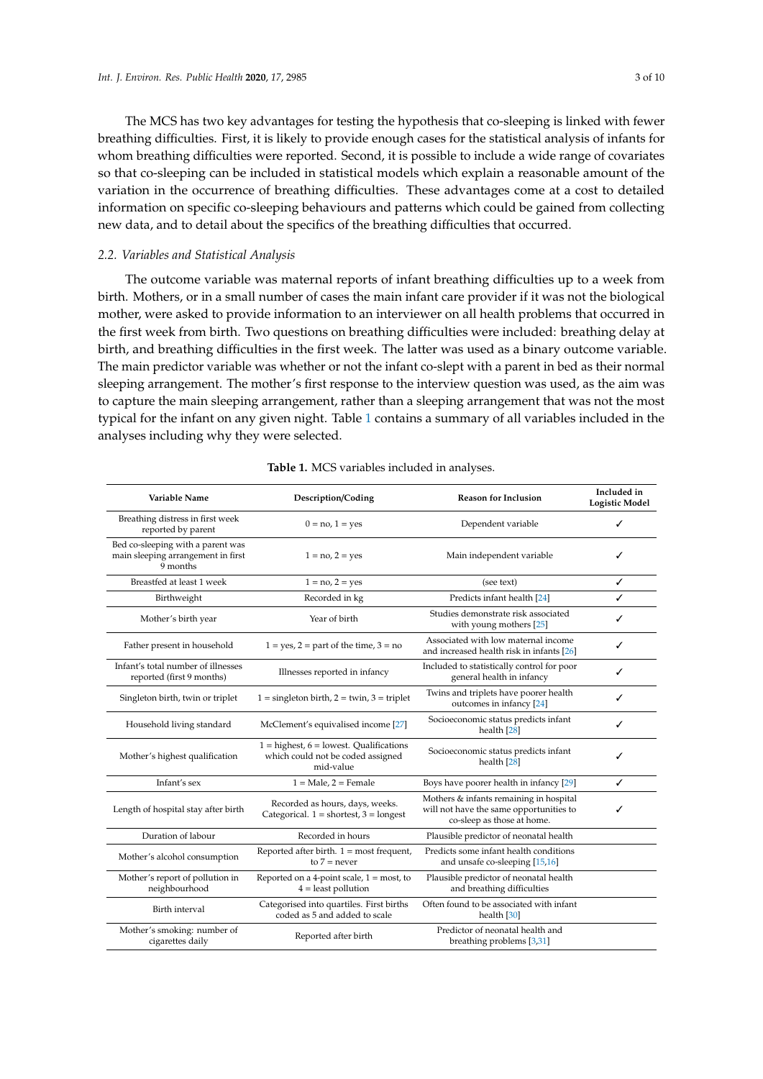The MCS has two key advantages for testing the hypothesis that co-sleeping is linked with fewer breathing difficulties. First, it is likely to provide enough cases for the statistical analysis of infants for whom breathing difficulties were reported. Second, it is possible to include a wide range of covariates so that co-sleeping can be included in statistical models which explain a reasonable amount of the variation in the occurrence of breathing difficulties. These advantages come at a cost to detailed information on specific co-sleeping behaviours and patterns which could be gained from collecting new data, and to detail about the specifics of the breathing difficulties that occurred.

#### *2.2. Variables and Statistical Analysis*

The outcome variable was maternal reports of infant breathing difficulties up to a week from birth. Mothers, or in a small number of cases the main infant care provider if it was not the biological mother, were asked to provide information to an interviewer on all health problems that occurred in the first week from birth. Two questions on breathing difficulties were included: breathing delay at birth, and breathing difficulties in the first week. The latter was used as a binary outcome variable. The main predictor variable was whether or not the infant co-slept with a parent in bed as their normal sleeping arrangement. The mother's first response to the interview question was used, as the aim was to capture the main sleeping arrangement, rather than a sleeping arrangement that was not the most typical for the infant on any given night. Table [1](#page-4-0) contains a summary of all variables included in the analyses including why they were selected.

| Variable Name<br>Description/Coding                                                 |                                                                                                                                                                 | <b>Reason for Inclusion</b>                                                                                      | Included in<br><b>Logistic Model</b> |
|-------------------------------------------------------------------------------------|-----------------------------------------------------------------------------------------------------------------------------------------------------------------|------------------------------------------------------------------------------------------------------------------|--------------------------------------|
| Breathing distress in first week<br>reported by parent                              | $0 = no, 1 = yes$                                                                                                                                               | Dependent variable                                                                                               | ✓                                    |
| Bed co-sleeping with a parent was<br>main sleeping arrangement in first<br>9 months | $1 = no, 2 = yes$                                                                                                                                               | Main independent variable                                                                                        | ✓                                    |
| Breastfed at least 1 week                                                           | $1 = no, 2 = yes$                                                                                                                                               | (see text)                                                                                                       | ✓                                    |
| Birthweight                                                                         | Recorded in kg                                                                                                                                                  | Predicts infant health [24]                                                                                      | ✓                                    |
| Mother's birth year                                                                 | Year of birth                                                                                                                                                   | Studies demonstrate risk associated<br>with young mothers [25]                                                   | ✓                                    |
| Father present in household                                                         | $1 = yes$ , $2 = part of the time$ , $3 = no$                                                                                                                   | Associated with low maternal income<br>and increased health risk in infants [26]                                 | ✓                                    |
| Infant's total number of illnesses<br>reported (first 9 months)                     | Illnesses reported in infancy                                                                                                                                   | Included to statistically control for poor<br>general health in infancy                                          | ✓                                    |
| Singleton birth, twin or triplet                                                    | $1 =$ singleton birth, $2 =$ twin, $3 =$ triplet                                                                                                                | Twins and triplets have poorer health<br>outcomes in infancy [24]                                                | ✓                                    |
| Household living standard                                                           | McClement's equivalised income [27]                                                                                                                             | Socioeconomic status predicts infant<br>health [28]                                                              | ✓                                    |
| Mother's highest qualification                                                      | $1 =$ highest, $6 =$ lowest. Qualifications<br>Socioeconomic status predicts infant<br>which could not be coded assigned<br>health <sup>[28]</sup><br>mid-value |                                                                                                                  | ✓                                    |
| Infant's sex                                                                        | $1 = Male$ , $2 = Female$                                                                                                                                       | Boys have poorer health in infancy [29]                                                                          | ✓                                    |
| Length of hospital stay after birth                                                 | Recorded as hours, days, weeks.<br>Categorical. $1 =$ shortest, $3 =$ longest                                                                                   | Mothers & infants remaining in hospital<br>will not have the same opportunities to<br>co-sleep as those at home. | ✓                                    |
| Duration of labour                                                                  | Recorded in hours                                                                                                                                               | Plausible predictor of neonatal health                                                                           |                                      |
| Mother's alcohol consumption                                                        | Reported after birth. $1 = \text{most frequent}$ ,<br>to $7$ = never                                                                                            |                                                                                                                  |                                      |
| Mother's report of pollution in<br>neighbourhood                                    | Reported on a 4-point scale, $1 = \text{most}$ , to<br>$4 =$ least pollution                                                                                    |                                                                                                                  |                                      |
| Birth interval                                                                      | Categorised into quartiles. First births<br>coded as 5 and added to scale                                                                                       |                                                                                                                  |                                      |
| Mother's smoking: number of<br>Reported after birth<br>cigarettes daily             |                                                                                                                                                                 | Predictor of neonatal health and<br>breathing problems [3,31]                                                    |                                      |

#### **Table 1.** MCS variables included in analyses.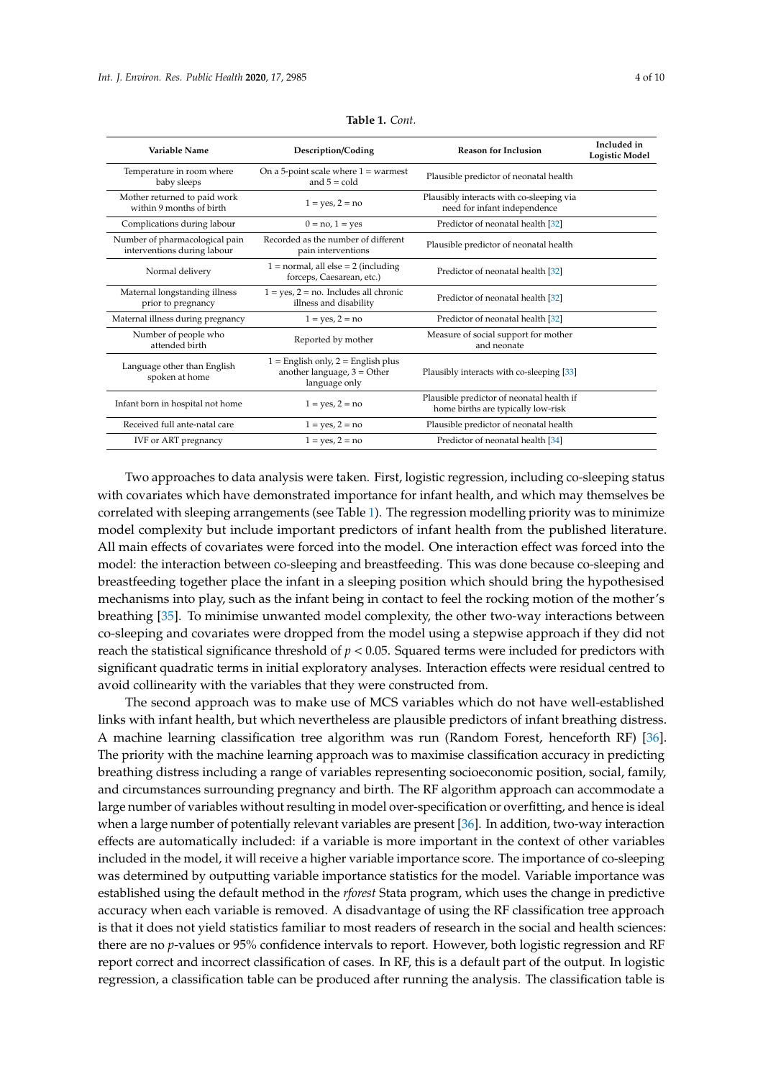<span id="page-4-0"></span>

| Variable Name                                                 | Description/Coding                                                                       | <b>Reason for Inclusion</b>                                                     | Included in<br><b>Logistic Model</b> |
|---------------------------------------------------------------|------------------------------------------------------------------------------------------|---------------------------------------------------------------------------------|--------------------------------------|
| Temperature in room where<br>baby sleeps                      | On a 5-point scale where $1 =$ warmest<br>and $5 =$ cold                                 | Plausible predictor of neonatal health                                          |                                      |
| Mother returned to paid work<br>within 9 months of birth      | $1 = yes, 2 = no$                                                                        | Plausibly interacts with co-sleeping via<br>need for infant independence        |                                      |
| Complications during labour                                   | $0 = no, 1 = ves$                                                                        | Predictor of neonatal health [32]                                               |                                      |
| Number of pharmacological pain<br>interventions during labour | Recorded as the number of different<br>pain interventions                                | Plausible predictor of neonatal health                                          |                                      |
| Normal delivery                                               | $1 = normal$ , all else = 2 (including<br>forceps, Caesarean, etc.)                      | Predictor of neonatal health [32]                                               |                                      |
| Maternal longstanding illness<br>prior to pregnancy           | $1 = yes, 2 = no.$ Includes all chronic<br>illness and disability                        | Predictor of neonatal health [32]                                               |                                      |
| Maternal illness during pregnancy                             | $1 = yes, 2 = no$                                                                        | Predictor of neonatal health [32]                                               |                                      |
| Number of people who<br>attended birth                        | Reported by mother                                                                       | Measure of social support for mother<br>and neonate                             |                                      |
| Language other than English<br>spoken at home                 | $1 =$ English only, $2 =$ English plus<br>another language, $3 =$ Other<br>language only | Plausibly interacts with co-sleeping [33]                                       |                                      |
| Infant born in hospital not home                              | $1 = yes, 2 = no$                                                                        | Plausible predictor of neonatal health if<br>home births are typically low-risk |                                      |
| Received full ante-natal care                                 | $1 = yes, 2 = no$                                                                        | Plausible predictor of neonatal health                                          |                                      |
| IVF or ART pregnancy                                          | $1 = yes, 2 = no$                                                                        | Predictor of neonatal health [34]                                               |                                      |

**Table 1.** *Cont.*

Two approaches to data analysis were taken. First, logistic regression, including co-sleeping status with covariates which have demonstrated importance for infant health, and which may themselves be correlated with sleeping arrangements (see Table [1\)](#page-4-0). The regression modelling priority was to minimize model complexity but include important predictors of infant health from the published literature. All main effects of covariates were forced into the model. One interaction effect was forced into the model: the interaction between co-sleeping and breastfeeding. This was done because co-sleeping and breastfeeding together place the infant in a sleeping position which should bring the hypothesised mechanisms into play, such as the infant being in contact to feel the rocking motion of the mother's breathing [\[35\]](#page-10-13). To minimise unwanted model complexity, the other two-way interactions between co-sleeping and covariates were dropped from the model using a stepwise approach if they did not reach the statistical significance threshold of  $p < 0.05$ . Squared terms were included for predictors with significant quadratic terms in initial exploratory analyses. Interaction effects were residual centred to avoid collinearity with the variables that they were constructed from.

The second approach was to make use of MCS variables which do not have well-established links with infant health, but which nevertheless are plausible predictors of infant breathing distress. A machine learning classification tree algorithm was run (Random Forest, henceforth RF) [\[36\]](#page-10-14). The priority with the machine learning approach was to maximise classification accuracy in predicting breathing distress including a range of variables representing socioeconomic position, social, family, and circumstances surrounding pregnancy and birth. The RF algorithm approach can accommodate a large number of variables without resulting in model over-specification or overfitting, and hence is ideal when a large number of potentially relevant variables are present [\[36\]](#page-10-14). In addition, two-way interaction effects are automatically included: if a variable is more important in the context of other variables included in the model, it will receive a higher variable importance score. The importance of co-sleeping was determined by outputting variable importance statistics for the model. Variable importance was established using the default method in the *rforest* Stata program, which uses the change in predictive accuracy when each variable is removed. A disadvantage of using the RF classification tree approach is that it does not yield statistics familiar to most readers of research in the social and health sciences: there are no *p*-values or 95% confidence intervals to report. However, both logistic regression and RF report correct and incorrect classification of cases. In RF, this is a default part of the output. In logistic regression, a classification table can be produced after running the analysis. The classification table is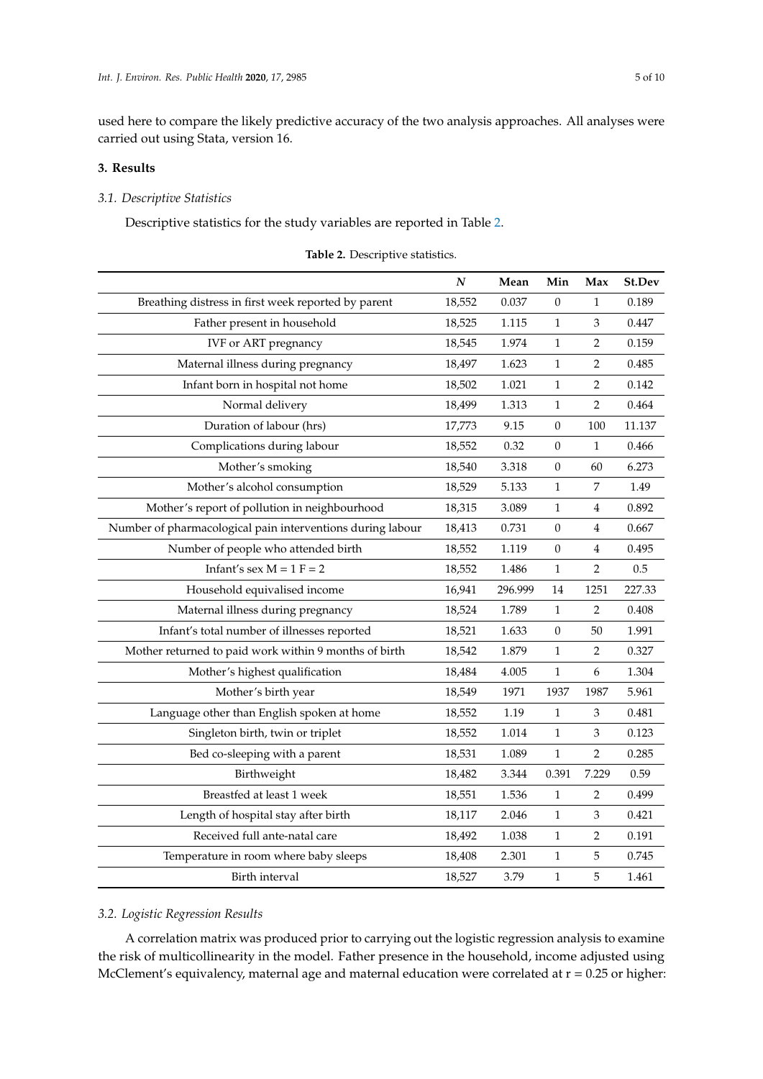used here to compare the likely predictive accuracy of the two analysis approaches. All analyses were carried out using Stata, version 16.

## **3. Results**

#### *3.1. Descriptive Statistics*

Descriptive statistics for the study variables are reported in Table [2.](#page-5-0)

<span id="page-5-0"></span>

|                                                            | $\boldsymbol{N}$ | Mean    | Min              | Max            | St.Dev |
|------------------------------------------------------------|------------------|---------|------------------|----------------|--------|
| Breathing distress in first week reported by parent        | 18,552           | 0.037   | $\theta$         | $\mathbf{1}$   | 0.189  |
| Father present in household                                | 18,525           | 1.115   | 1                | 3              | 0.447  |
| <b>IVF</b> or ART pregnancy                                | 18,545           | 1.974   | $\mathbf{1}$     | $\overline{2}$ | 0.159  |
| Maternal illness during pregnancy                          | 18,497           | 1.623   | 1                | 2              | 0.485  |
| Infant born in hospital not home                           | 18,502           | 1.021   | 1                | $\overline{c}$ | 0.142  |
| Normal delivery                                            | 18,499           | 1.313   | $\mathbf{1}$     | $\overline{2}$ | 0.464  |
| Duration of labour (hrs)                                   | 17,773           | 9.15    | $\boldsymbol{0}$ | 100            | 11.137 |
| Complications during labour                                | 18,552           | 0.32    | $\theta$         | $\mathbf{1}$   | 0.466  |
| Mother's smoking                                           | 18,540           | 3.318   | $\boldsymbol{0}$ | 60             | 6.273  |
| Mother's alcohol consumption                               | 18,529           | 5.133   | 1                | $\overline{7}$ | 1.49   |
| Mother's report of pollution in neighbourhood              | 18,315           | 3.089   | $\mathbf{1}$     | 4              | 0.892  |
| Number of pharmacological pain interventions during labour | 18,413           | 0.731   | 0                | 4              | 0.667  |
| Number of people who attended birth                        | 18,552           | 1.119   | $\mathbf{0}$     | 4              | 0.495  |
| Infant's sex $M = 1$ $F = 2$                               | 18,552           | 1.486   | $\mathbf{1}$     | $\overline{2}$ | 0.5    |
| Household equivalised income                               | 16,941           | 296.999 | 14               | 1251           | 227.33 |
| Maternal illness during pregnancy                          | 18,524           | 1.789   | 1                | $\overline{2}$ | 0.408  |
| Infant's total number of illnesses reported                | 18,521           | 1.633   | $\boldsymbol{0}$ | 50             | 1.991  |
| Mother returned to paid work within 9 months of birth      | 18,542           | 1.879   | $\mathbf{1}$     | $\overline{2}$ | 0.327  |
| Mother's highest qualification                             | 18,484           | 4.005   | $\mathbf 1$      | 6              | 1.304  |
| Mother's birth year                                        | 18,549           | 1971    | 1937             | 1987           | 5.961  |
| Language other than English spoken at home                 | 18,552           | 1.19    | $\mathbf{1}$     | 3              | 0.481  |
| Singleton birth, twin or triplet                           | 18,552           | 1.014   | $\mathbf{1}$     | 3              | 0.123  |
| Bed co-sleeping with a parent                              | 18,531           | 1.089   | $\mathbf 1$      | $\overline{2}$ | 0.285  |
| Birthweight                                                | 18,482           | 3.344   | 0.391            | 7.229          | 0.59   |
| Breastfed at least 1 week                                  | 18,551           | 1.536   | $\mathbf 1$      | 2              | 0.499  |
| Length of hospital stay after birth                        | 18,117           | 2.046   | $\mathbf{1}$     | 3              | 0.421  |
| Received full ante-natal care                              | 18,492           | 1.038   | 1                | 2              | 0.191  |
| Temperature in room where baby sleeps                      | 18,408           | 2.301   | $\mathbf{1}$     | 5              | 0.745  |
| Birth interval                                             | 18,527           | 3.79    | $\mathbf{1}$     | 5              | 1.461  |

|  | Table 2. Descriptive statistics. |  |
|--|----------------------------------|--|
|--|----------------------------------|--|

## *3.2. Logistic Regression Results*

A correlation matrix was produced prior to carrying out the logistic regression analysis to examine the risk of multicollinearity in the model. Father presence in the household, income adjusted using McClement's equivalency, maternal age and maternal education were correlated at r = 0.25 or higher: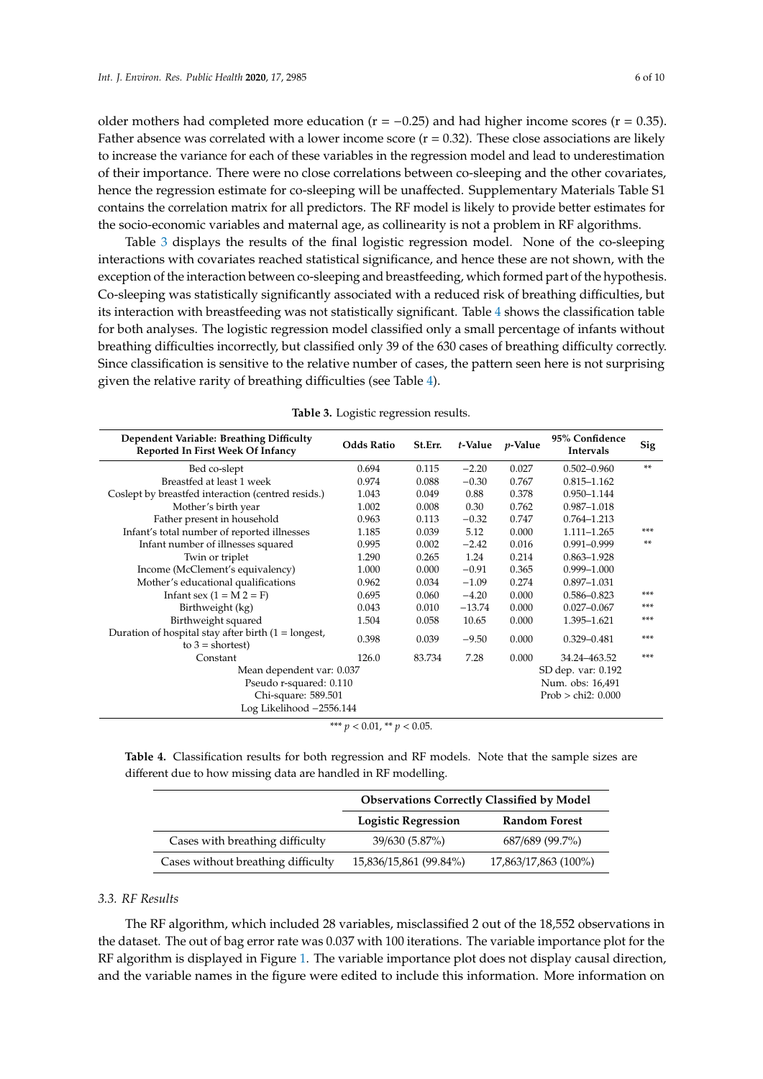older mothers had completed more education ( $r = -0.25$ ) and had higher income scores ( $r = 0.35$ ). Father absence was correlated with a lower income score  $(r = 0.32)$ . These close associations are likely to increase the variance for each of these variables in the regression model and lead to underestimation of their importance. There were no close correlations between co-sleeping and the other covariates, hence the regression estimate for co-sleeping will be unaffected. Supplementary Materials Table S1 contains the correlation matrix for all predictors. The RF model is likely to provide better estimates for the socio-economic variables and maternal age, as collinearity is not a problem in RF algorithms.

Table [3](#page-6-0) displays the results of the final logistic regression model. None of the co-sleeping interactions with covariates reached statistical significance, and hence these are not shown, with the exception of the interaction between co-sleeping and breastfeeding, which formed part of the hypothesis. Co-sleeping was statistically significantly associated with a reduced risk of breathing difficulties, but its interaction with breastfeeding was not statistically significant. Table [4](#page-6-1) shows the classification table for both analyses. The logistic regression model classified only a small percentage of infants without breathing difficulties incorrectly, but classified only 39 of the 630 cases of breathing difficulty correctly. Since classification is sensitive to the relative number of cases, the pattern seen here is not surprising given the relative rarity of breathing difficulties (see Table [4\)](#page-6-1).

<span id="page-6-0"></span>

| Dependent Variable: Breathing Difficulty<br>Reported In First Week Of Infancy | <b>Odds Ratio</b> | St.Err. | t-Value  | $p$ -Value | 95% Confidence<br>Intervals | Sig |
|-------------------------------------------------------------------------------|-------------------|---------|----------|------------|-----------------------------|-----|
| Bed co-slept                                                                  | 0.694             | 0.115   | $-2.20$  | 0.027      | $0.502 - 0.960$             | **  |
| Breastfed at least 1 week                                                     | 0.974             | 0.088   | $-0.30$  | 0.767      | $0.815 - 1.162$             |     |
| Coslept by breastfed interaction (centred resids.)                            | 1.043             | 0.049   | 0.88     | 0.378      | 0.950-1.144                 |     |
| Mother's birth year                                                           | 1.002             | 0.008   | 0.30     | 0.762      | 0.987-1.018                 |     |
| Father present in household                                                   | 0.963             | 0.113   | $-0.32$  | 0.747      | 0.764-1.213                 |     |
| Infant's total number of reported illnesses                                   | 1.185             | 0.039   | 5.12     | 0.000      | $1.111 - 1.265$             | *** |
| Infant number of illnesses squared                                            | 0.995             | 0.002   | $-2.42$  | 0.016      | $0.991 - 0.999$             | **  |
| Twin or triplet                                                               | 1.290             | 0.265   | 1.24     | 0.214      | $0.863 - 1.928$             |     |
| Income (McClement's equivalency)                                              | 1.000             | 0.000   | $-0.91$  | 0.365      | $0.999 - 1.000$             |     |
| Mother's educational qualifications                                           | 0.962             | 0.034   | $-1.09$  | 0.274      | $0.897 - 1.031$             |     |
| Infant sex $(1 = M 2 = F)$                                                    | 0.695             | 0.060   | $-4.20$  | 0.000      | $0.586 - 0.823$             | *** |
| Birthweight (kg)                                                              | 0.043             | 0.010   | $-13.74$ | 0.000      | $0.027 - 0.067$             | *** |
| Birthweight squared                                                           | 1.504             | 0.058   | 10.65    | 0.000      | 1.395-1.621                 | *** |
| Duration of hospital stay after birth $(1 =$ longest,<br>to $3 = shortest$ )  | 0.398             | 0.039   | $-9.50$  | 0.000      | $0.329 - 0.481$             | *** |
| Constant                                                                      | 126.0             | 83.734  | 7.28     | 0.000      | 34.24-463.52                | *** |
| Mean dependent var: 0.037                                                     |                   |         |          |            | SD dep. var: 0.192          |     |
| Pseudo r-squared: 0.110                                                       |                   |         |          |            | Num. obs: 16,491            |     |
| Chi-square: 589.501                                                           |                   |         |          |            | Prob > chi2: 0.000          |     |
| Log Likelihood -2556.144                                                      |                   |         |          |            |                             |     |

**Table 3.** Logistic regression results.

\*\*\*  $p < 0.01$ , \*\*  $p < 0.05$ .

<span id="page-6-1"></span>**Table 4.** Classification results for both regression and RF models. Note that the sample sizes are different due to how missing data are handled in RF modelling.

|                                    | <b>Observations Correctly Classified by Model</b> |                      |  |  |  |
|------------------------------------|---------------------------------------------------|----------------------|--|--|--|
|                                    | <b>Logistic Regression</b>                        | <b>Random Forest</b> |  |  |  |
| Cases with breathing difficulty    | 39/630 (5.87%)                                    | 687/689 (99.7%)      |  |  |  |
| Cases without breathing difficulty | 15,836/15,861 (99.84%)                            | 17,863/17,863 (100%) |  |  |  |

#### *3.3. RF Results*

The RF algorithm, which included 28 variables, misclassified 2 out of the 18,552 observations in the dataset. The out of bag error rate was 0.037 with 100 iterations. The variable importance plot for the RF algorithm is displayed in Figure [1.](#page-7-0) The variable importance plot does not display causal direction, and the variable names in the figure were edited to include this information. More information on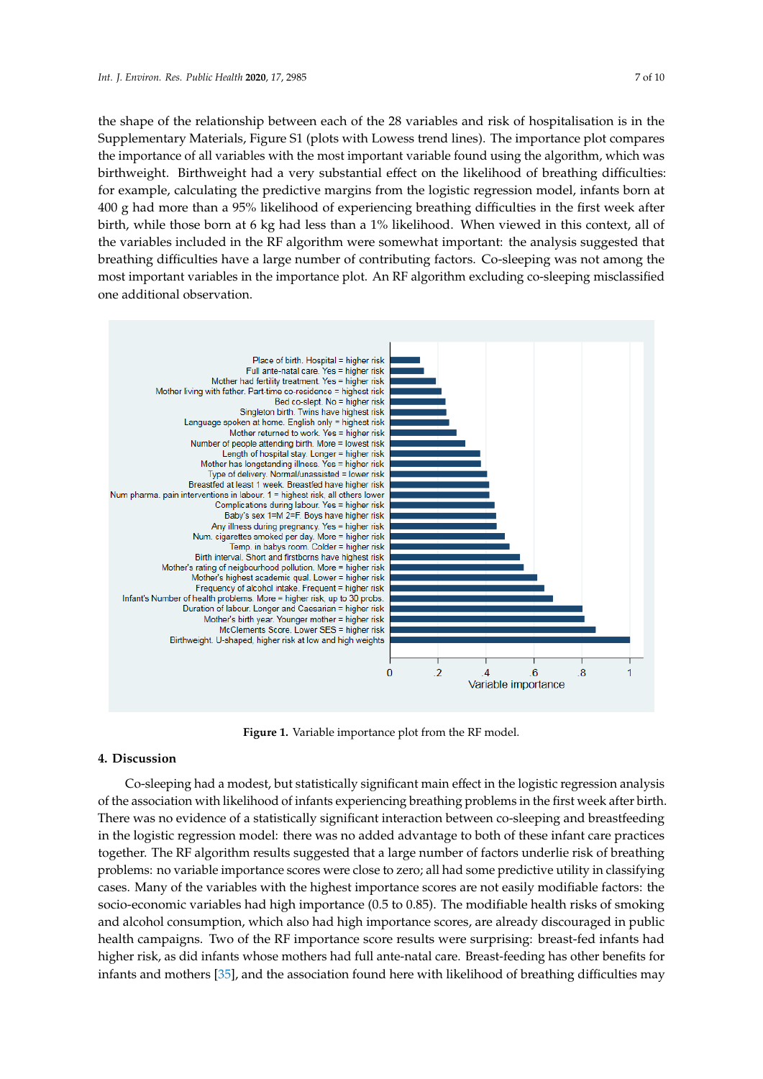the shape of the relationship between each of the 28 variables and risk of hospitalisation is in the Supplementary Materials, Figure S1 (plots with Lowess trend lines). The importance plot compares the importance of all variables with the most important variable found using the algorithm, which was birthweight. Birthweight had a very substantial effect on the likelihood of breathing difficulties: for example, calculating the predictive margins from the logistic regression model, infants born at 400 g had more than a 95% likelihood of experiencing breathing difficulties in the first week after birth, while those born at 6 kg had less than a 1% likelihood. When viewed in this context, all of the variables included in the  $RF$  algorithm were somewhat important: the analysis suggested that the variables included in the  $RF$  algorithm were somewhat important: the analysis suggested that Inc variables included in the randgement were somewhat important: the analysis suggested that<br>breathing difficulties have a large number of contributing factors. Co-sleeping was not among the the analysis sume analysis in the analysis suggested that breathing all the analysis suggested that the analysis suggested that breathing that breathing that that breathing the analysis of the analysis of the analysis of t one additional observation. sleeping was not algorithm was not among the most importance plot. An RF algorithm exclusively co-excepting interactional excluding co-sleeping misclassified one additional observation.

<span id="page-7-0"></span>

**Figure 1.** Variable importance plot from the RF model. **Figure 1.** Variable importance plot from the RF model.

## **4. Discussion 4. Discussion**

Co-sleeping had a modest, but statistically significant main effect in the logistic regression Co-sleeping had a modest, but statistically significant main effect in the logistic regression analysis of the association with likelihood of infants experiencing breathing problems in the first week after birth.<br>— There was no evidence of a statistically significant interaction between co-sleeping and breastfeeding in the logistic regression model: there was no added advantage to both of these infant care practices together. The RF algorithm results suggested that a large number of factors underlie risk of breathing problems: no variable importance scores were close to zero; all had some predictive utility in classifying cases. Many of the variables with the highest importance scores are not easily modifiable factors: the socio-economic variables had high importance (0.5 to 0.85). The modifiable health risks of smoking and alcohol consumption, which also had high importance scores, are already discouraged in public health campaigns. Two of the RF importance score results were surprising: breast-fed infants had higher risk, as did infants whose mothers had full ante-natal care. Breast-feeding has other benefits for infants and mothers [\[35\]](#page-10-13), and the association found here with likelihood of breathing difficulties may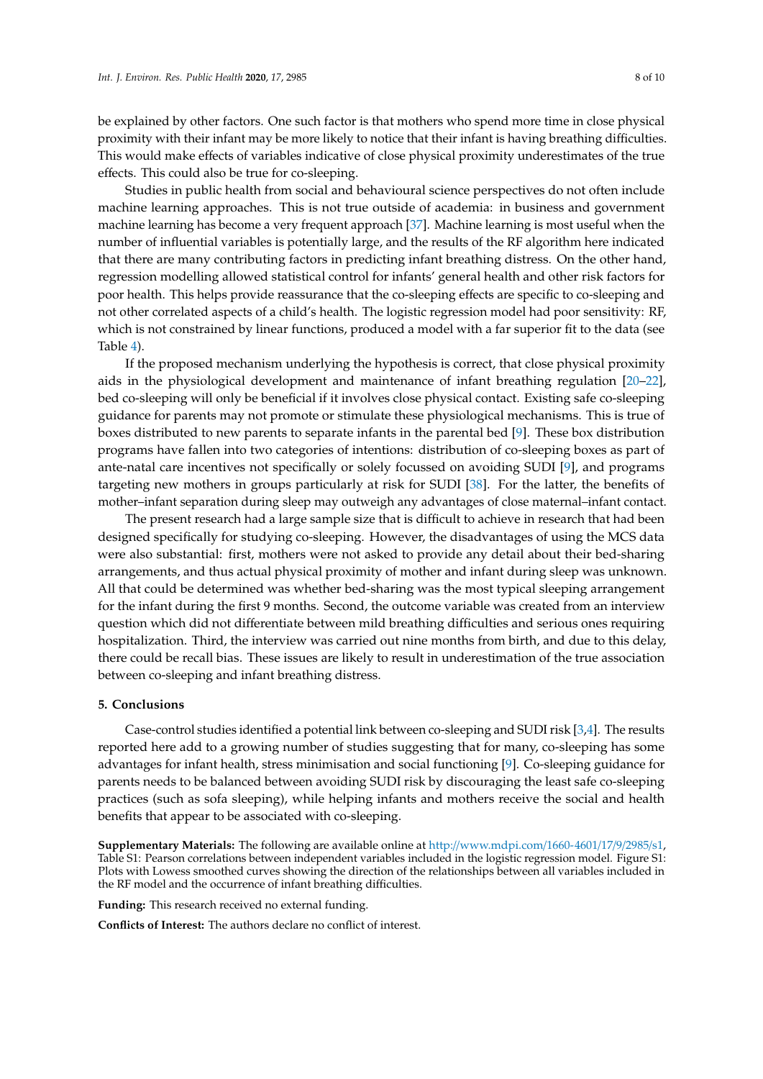be explained by other factors. One such factor is that mothers who spend more time in close physical proximity with their infant may be more likely to notice that their infant is having breathing difficulties. This would make effects of variables indicative of close physical proximity underestimates of the true effects. This could also be true for co-sleeping.

Studies in public health from social and behavioural science perspectives do not often include machine learning approaches. This is not true outside of academia: in business and government machine learning has become a very frequent approach [\[37\]](#page-10-15). Machine learning is most useful when the number of influential variables is potentially large, and the results of the RF algorithm here indicated that there are many contributing factors in predicting infant breathing distress. On the other hand, regression modelling allowed statistical control for infants' general health and other risk factors for poor health. This helps provide reassurance that the co-sleeping effects are specific to co-sleeping and not other correlated aspects of a child's health. The logistic regression model had poor sensitivity: RF, which is not constrained by linear functions, produced a model with a far superior fit to the data (see Table [4\)](#page-6-1).

If the proposed mechanism underlying the hypothesis is correct, that close physical proximity aids in the physiological development and maintenance of infant breathing regulation [\[20](#page-9-18)[–22\]](#page-10-0), bed co-sleeping will only be beneficial if it involves close physical contact. Existing safe co-sleeping guidance for parents may not promote or stimulate these physiological mechanisms. This is true of boxes distributed to new parents to separate infants in the parental bed [\[9\]](#page-9-8). These box distribution programs have fallen into two categories of intentions: distribution of co-sleeping boxes as part of ante-natal care incentives not specifically or solely focussed on avoiding SUDI [\[9\]](#page-9-8), and programs targeting new mothers in groups particularly at risk for SUDI [\[38\]](#page-10-16). For the latter, the benefits of mother–infant separation during sleep may outweigh any advantages of close maternal–infant contact.

The present research had a large sample size that is difficult to achieve in research that had been designed specifically for studying co-sleeping. However, the disadvantages of using the MCS data were also substantial: first, mothers were not asked to provide any detail about their bed-sharing arrangements, and thus actual physical proximity of mother and infant during sleep was unknown. All that could be determined was whether bed-sharing was the most typical sleeping arrangement for the infant during the first 9 months. Second, the outcome variable was created from an interview question which did not differentiate between mild breathing difficulties and serious ones requiring hospitalization. Third, the interview was carried out nine months from birth, and due to this delay, there could be recall bias. These issues are likely to result in underestimation of the true association between co-sleeping and infant breathing distress.

### **5. Conclusions**

Case-control studies identified a potential link between co-sleeping and SUDI risk [\[3,](#page-9-2)[4\]](#page-9-3). The results reported here add to a growing number of studies suggesting that for many, co-sleeping has some advantages for infant health, stress minimisation and social functioning [\[9\]](#page-9-8). Co-sleeping guidance for parents needs to be balanced between avoiding SUDI risk by discouraging the least safe co-sleeping practices (such as sofa sleeping), while helping infants and mothers receive the social and health benefits that appear to be associated with co-sleeping.

**Supplementary Materials:** The following are available online at http://[www.mdpi.com](http://www.mdpi.com/1660-4601/17/9/2985/s1)/1660-4601/17/9/2985/s1, Table S1: Pearson correlations between independent variables included in the logistic regression model. Figure S1: Plots with Lowess smoothed curves showing the direction of the relationships between all variables included in the RF model and the occurrence of infant breathing difficulties.

**Funding:** This research received no external funding.

**Conflicts of Interest:** The authors declare no conflict of interest.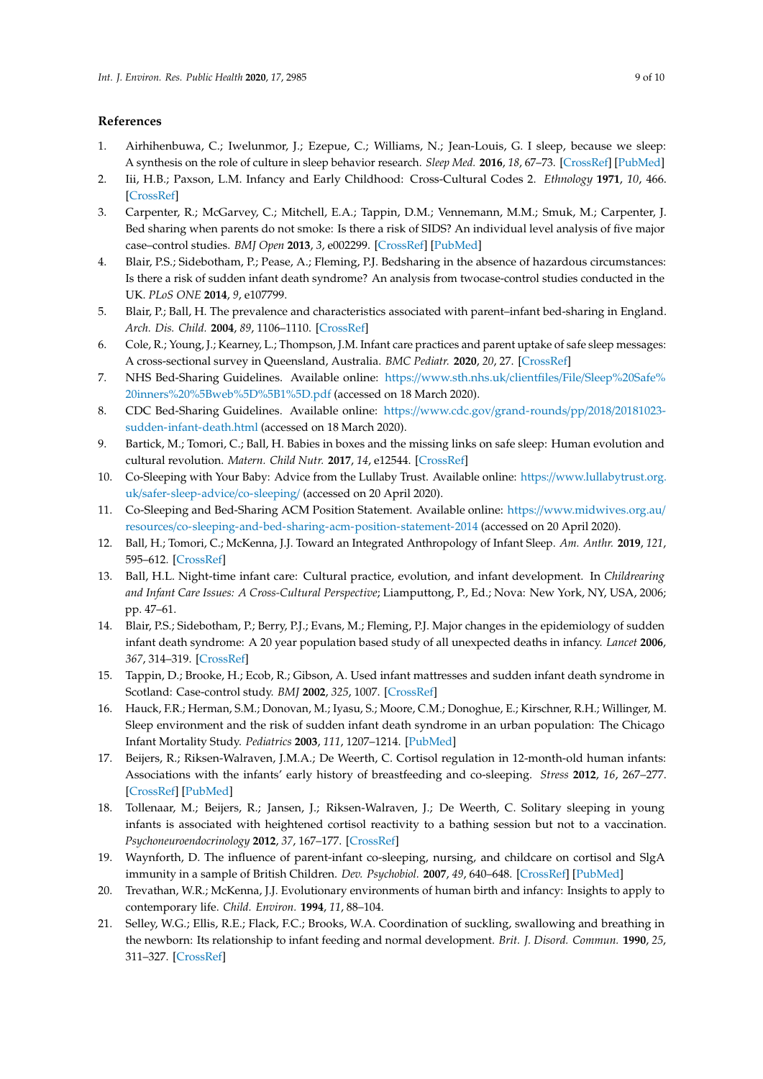## **References**

- <span id="page-9-0"></span>1. Airhihenbuwa, C.; Iwelunmor, J.; Ezepue, C.; Williams, N.; Jean-Louis, G. I sleep, because we sleep: A synthesis on the role of culture in sleep behavior research. *Sleep Med.* **2016**, *18*, 67–73. [\[CrossRef\]](http://dx.doi.org/10.1016/j.sleep.2015.07.020) [\[PubMed\]](http://www.ncbi.nlm.nih.gov/pubmed/26601625)
- <span id="page-9-1"></span>2. Iii, H.B.; Paxson, L.M. Infancy and Early Childhood: Cross-Cultural Codes 2. *Ethnology* **1971**, *10*, 466. [\[CrossRef\]](http://dx.doi.org/10.2307/3773177)
- <span id="page-9-2"></span>3. Carpenter, R.; McGarvey, C.; Mitchell, E.A.; Tappin, D.M.; Vennemann, M.M.; Smuk, M.; Carpenter, J. Bed sharing when parents do not smoke: Is there a risk of SIDS? An individual level analysis of five major case–control studies. *BMJ Open* **2013**, *3*, e002299. [\[CrossRef\]](http://dx.doi.org/10.1136/bmjopen-2012-002299) [\[PubMed\]](http://www.ncbi.nlm.nih.gov/pubmed/23793691)
- <span id="page-9-3"></span>4. Blair, P.S.; Sidebotham, P.; Pease, A.; Fleming, P.J. Bedsharing in the absence of hazardous circumstances: Is there a risk of sudden infant death syndrome? An analysis from twocase-control studies conducted in the UK. *PLoS ONE* **2014**, *9*, e107799.
- <span id="page-9-4"></span>5. Blair, P.; Ball, H. The prevalence and characteristics associated with parent–infant bed-sharing in England. *Arch. Dis. Child.* **2004**, *89*, 1106–1110. [\[CrossRef\]](http://dx.doi.org/10.1136/adc.2003.038067)
- <span id="page-9-5"></span>6. Cole, R.; Young, J.; Kearney, L.; Thompson, J.M. Infant care practices and parent uptake of safe sleep messages: A cross-sectional survey in Queensland, Australia. *BMC Pediatr.* **2020**, *20*, 27. [\[CrossRef\]](http://dx.doi.org/10.1186/s12887-020-1917-5)
- <span id="page-9-6"></span>7. NHS Bed-Sharing Guidelines. Available online: https://[www.sth.nhs.uk](https://www.sth.nhs.uk/clientfiles/File/Sleep%20Safe%20inners%20%5Bweb%5D%5B1%5D.pdf)/clientfiles/File/Sleep%20Safe% [20inners%20%5Bweb%5D%5B1%5D.pdf](https://www.sth.nhs.uk/clientfiles/File/Sleep%20Safe%20inners%20%5Bweb%5D%5B1%5D.pdf) (accessed on 18 March 2020).
- <span id="page-9-7"></span>8. CDC Bed-Sharing Guidelines. Available online: https://www.cdc.gov/[grand-rounds](https://www.cdc.gov/grand-rounds/pp/2018/20181023-sudden-infant-death.html)/pp/2018/20181023 [sudden-infant-death.html](https://www.cdc.gov/grand-rounds/pp/2018/20181023-sudden-infant-death.html) (accessed on 18 March 2020).
- <span id="page-9-8"></span>9. Bartick, M.; Tomori, C.; Ball, H. Babies in boxes and the missing links on safe sleep: Human evolution and cultural revolution. *Matern. Child Nutr.* **2017**, *14*, e12544. [\[CrossRef\]](http://dx.doi.org/10.1111/mcn.12544)
- <span id="page-9-9"></span>10. Co-Sleeping with Your Baby: Advice from the Lullaby Trust. Available online: https://[www.lullabytrust.org.](https://www.lullabytrust.org.uk/safer-sleep-advice/co-sleeping/) uk/[safer-sleep-advice](https://www.lullabytrust.org.uk/safer-sleep-advice/co-sleeping/)/co-sleeping/ (accessed on 20 April 2020).
- <span id="page-9-10"></span>11. Co-Sleeping and Bed-Sharing ACM Position Statement. Available online: https://[www.midwives.org.au](https://www.midwives.org.au/resources/co-sleeping-and-bed-sharing-acm-position-statement-2014)/ resources/[co-sleeping-and-bed-sharing-acm-position-statement-2014](https://www.midwives.org.au/resources/co-sleeping-and-bed-sharing-acm-position-statement-2014) (accessed on 20 April 2020).
- <span id="page-9-11"></span>12. Ball, H.; Tomori, C.; McKenna, J.J. Toward an Integrated Anthropology of Infant Sleep. *Am. Anthr.* **2019**, *121*, 595–612. [\[CrossRef\]](http://dx.doi.org/10.1111/aman.13284)
- <span id="page-9-12"></span>13. Ball, H.L. Night-time infant care: Cultural practice, evolution, and infant development. In *Childrearing and Infant Care Issues: A Cross-Cultural Perspective*; Liamputtong, P., Ed.; Nova: New York, NY, USA, 2006; pp. 47–61.
- <span id="page-9-13"></span>14. Blair, P.S.; Sidebotham, P.; Berry, P.J.; Evans, M.; Fleming, P.J. Major changes in the epidemiology of sudden infant death syndrome: A 20 year population based study of all unexpected deaths in infancy. *Lancet* **2006**, *367*, 314–319. [\[CrossRef\]](http://dx.doi.org/10.1016/S0140-6736(06)67968-3)
- <span id="page-9-20"></span>15. Tappin, D.; Brooke, H.; Ecob, R.; Gibson, A. Used infant mattresses and sudden infant death syndrome in Scotland: Case-control study. *BMJ* **2002**, *325*, 1007. [\[CrossRef\]](http://dx.doi.org/10.1136/bmj.325.7371.1007)
- <span id="page-9-14"></span>16. Hauck, F.R.; Herman, S.M.; Donovan, M.; Iyasu, S.; Moore, C.M.; Donoghue, E.; Kirschner, R.H.; Willinger, M. Sleep environment and the risk of sudden infant death syndrome in an urban population: The Chicago Infant Mortality Study. *Pediatrics* **2003**, *111*, 1207–1214. [\[PubMed\]](http://www.ncbi.nlm.nih.gov/pubmed/12728140)
- <span id="page-9-15"></span>17. Beijers, R.; Riksen-Walraven, J.M.A.; De Weerth, C. Cortisol regulation in 12-month-old human infants: Associations with the infants' early history of breastfeeding and co-sleeping. *Stress* **2012**, *16*, 267–277. [\[CrossRef\]](http://dx.doi.org/10.3109/10253890.2012.742057) [\[PubMed\]](http://www.ncbi.nlm.nih.gov/pubmed/23116166)
- <span id="page-9-17"></span>18. Tollenaar, M.; Beijers, R.; Jansen, J.; Riksen-Walraven, J.; De Weerth, C. Solitary sleeping in young infants is associated with heightened cortisol reactivity to a bathing session but not to a vaccination. *Psychoneuroendocrinology* **2012**, *37*, 167–177. [\[CrossRef\]](http://dx.doi.org/10.1016/j.psyneuen.2011.03.017)
- <span id="page-9-16"></span>19. Waynforth, D. The influence of parent-infant co-sleeping, nursing, and childcare on cortisol and SlgA immunity in a sample of British Children. *Dev. Psychobiol.* **2007**, *49*, 640–648. [\[CrossRef\]](http://dx.doi.org/10.1002/dev.20248) [\[PubMed\]](http://www.ncbi.nlm.nih.gov/pubmed/17680611)
- <span id="page-9-18"></span>20. Trevathan, W.R.; McKenna, J.J. Evolutionary environments of human birth and infancy: Insights to apply to contemporary life. *Child. Environ.* **1994**, *11*, 88–104.
- <span id="page-9-19"></span>21. Selley, W.G.; Ellis, R.E.; Flack, F.C.; Brooks, W.A. Coordination of suckling, swallowing and breathing in the newborn: Its relationship to infant feeding and normal development. *Brit. J. Disord. Commun.* **1990**, *25*, 311–327. [\[CrossRef\]](http://dx.doi.org/10.3109/13682829009011980)